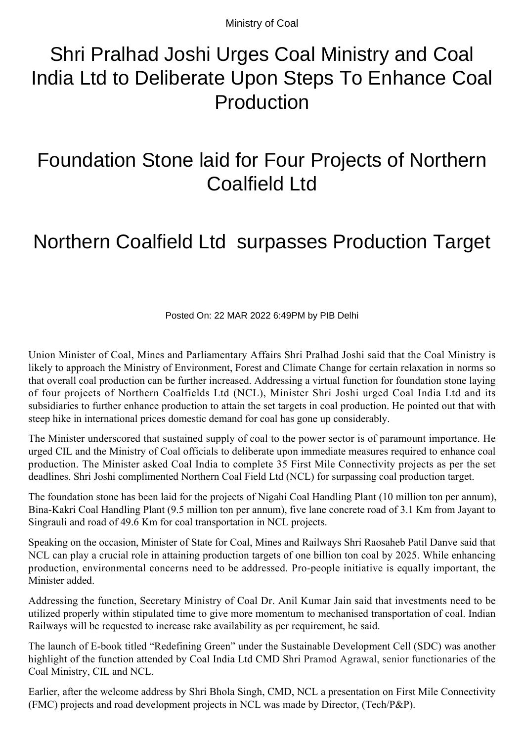Ministry of Coal

## Shri Pralhad Joshi Urges Coal Ministry and Coal India Ltd to Deliberate Upon Steps To Enhance Coal Production

## Foundation Stone laid for Four Projects of Northern Coalfield Ltd

## Northern Coalfield Ltd surpasses Production Target

Posted On: 22 MAR 2022 6:49PM by PIB Delhi

Union Minister of Coal, Mines and Parliamentary Affairs Shri Pralhad Joshi said that the Coal Ministry is likely to approach the Ministry of Environment, Forest and Climate Change for certain relaxation in norms so that overall coal production can be further increased. Addressing a virtual function for foundation stone laying of four projects of Northern Coalfields Ltd (NCL), Minister Shri Joshi urged Coal India Ltd and its subsidiaries to further enhance production to attain the set targets in coal production. He pointed out that with steep hike in international prices domestic demand for coal has gone up considerably.

The Minister underscored that sustained supply of coal to the power sector is of paramount importance. He urged CIL and the Ministry of Coal officials to deliberate upon immediate measures required to enhance coal production. The Minister asked Coal India to complete 35 First Mile Connectivity projects as per the set deadlines. Shri Joshi complimented Northern Coal Field Ltd (NCL) for surpassing coal production target.

The foundation stone has been laid for the projects of Nigahi Coal Handling Plant (10 million ton per annum), Bina-Kakri Coal Handling Plant (9.5 million ton per annum), five lane concrete road of 3.1 Km from Jayant to Singrauli and road of 49.6 Km for coal transportation in NCL projects.

Speaking on the occasion, Minister of State for Coal, Mines and Railways Shri Raosaheb Patil Danve said that NCL can play a crucial role in attaining production targets of one billion ton coal by 2025. While enhancing production, environmental concerns need to be addressed. Pro-people initiative is equally important, the Minister added.

Addressing the function, Secretary Ministry of Coal Dr. Anil Kumar Jain said that investments need to be utilized properly within stipulated time to give more momentum to mechanised transportation of coal. Indian Railways will be requested to increase rake availability as per requirement, he said.

The launch of E-book titled "Redefining Green" under the Sustainable Development Cell (SDC) was another highlight of the function attended by Coal India Ltd CMD Shri Pramod Agrawal, senior functionaries of the Coal Ministry, CIL and NCL.

Earlier, after the welcome address by Shri Bhola Singh, CMD, NCL a presentation on First Mile Connectivity (FMC) projects and road development projects in NCL was made by Director, (Tech/P&P).